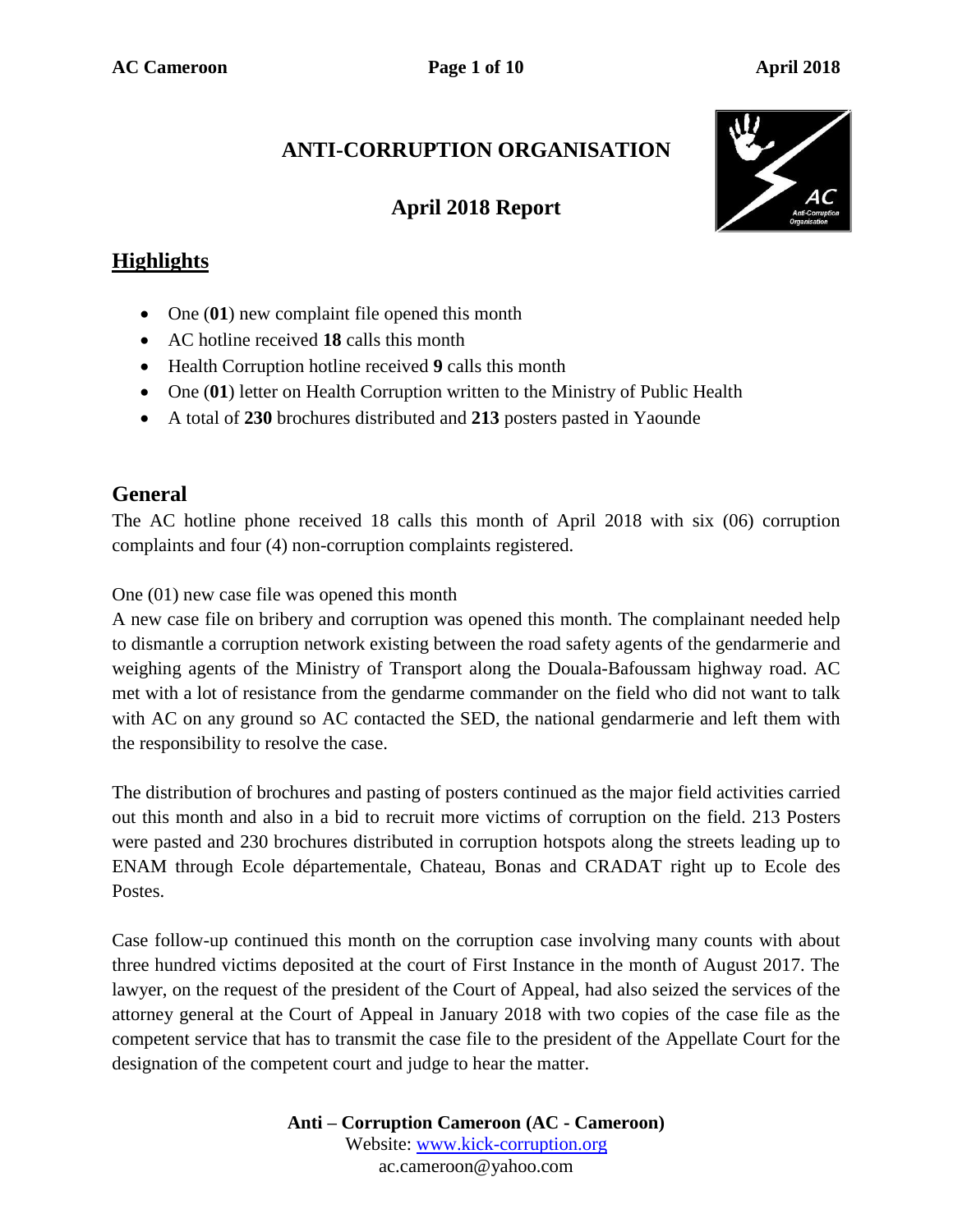# **ANTI-CORRUPTION ORGANISATION**

### **April 2018 Report**



#### **Highlights**

- One (01) new complaint file opened this month
- AC hotline received **18** calls this month
- Health Corruption hotline received **9** calls this month
- One (01) letter on Health Corruption written to the Ministry of Public Health
- A total of **230** brochures distributed and **213** posters pasted in Yaounde

### **General**

The AC hotline phone received 18 calls this month of April 2018 with six (06) corruption complaints and four (4) non-corruption complaints registered.

One (01) new case file was opened this month

A new case file on bribery and corruption was opened this month. The complainant needed help to dismantle a corruption network existing between the road safety agents of the gendarmerie and weighing agents of the Ministry of Transport along the Douala-Bafoussam highway road. AC met with a lot of resistance from the gendarme commander on the field who did not want to talk with AC on any ground so AC contacted the SED, the national gendarmerie and left them with the responsibility to resolve the case.

The distribution of brochures and pasting of posters continued as the major field activities carried out this month and also in a bid to recruit more victims of corruption on the field. 213 Posters were pasted and 230 brochures distributed in corruption hotspots along the streets leading up to ENAM through Ecole départementale, Chateau, Bonas and CRADAT right up to Ecole des Postes.

Case follow-up continued this month on the corruption case involving many counts with about three hundred victims deposited at the court of First Instance in the month of August 2017. The lawyer, on the request of the president of the Court of Appeal, had also seized the services of the attorney general at the Court of Appeal in January 2018 with two copies of the case file as the competent service that has to transmit the case file to the president of the Appellate Court for the designation of the competent court and judge to hear the matter.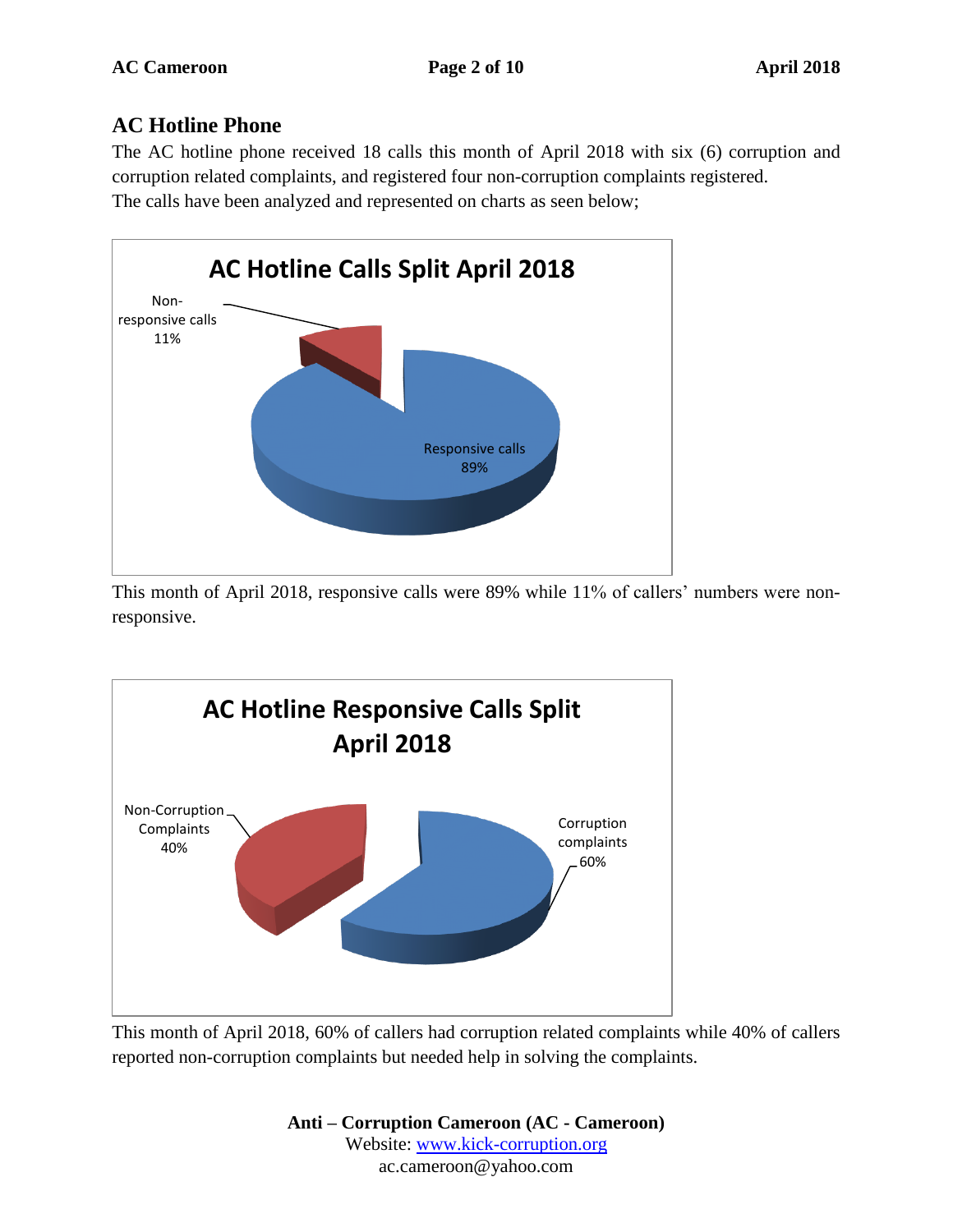### **AC Hotline Phone**

The AC hotline phone received 18 calls this month of April 2018 with six (6) corruption and corruption related complaints, and registered four non-corruption complaints registered. The calls have been analyzed and represented on charts as seen below;



This month of April 2018, responsive calls were 89% while 11% of callers' numbers were nonresponsive.



This month of April 2018, 60% of callers had corruption related complaints while 40% of callers reported non-corruption complaints but needed help in solving the complaints.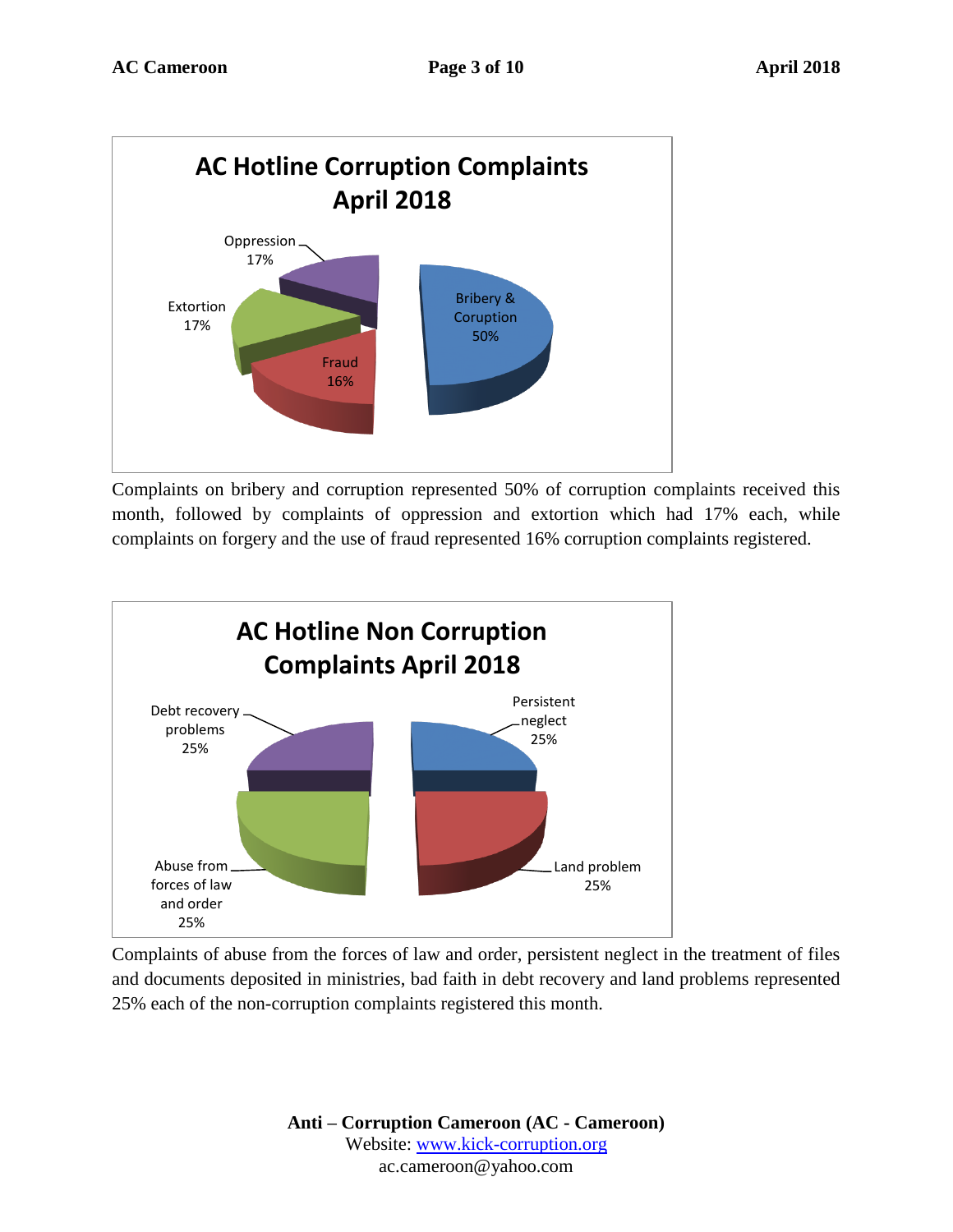

Complaints on bribery and corruption represented 50% of corruption complaints received this month, followed by complaints of oppression and extortion which had 17% each, while complaints on forgery and the use of fraud represented 16% corruption complaints registered.



Complaints of abuse from the forces of law and order, persistent neglect in the treatment of files and documents deposited in ministries, bad faith in debt recovery and land problems represented 25% each of the non-corruption complaints registered this month.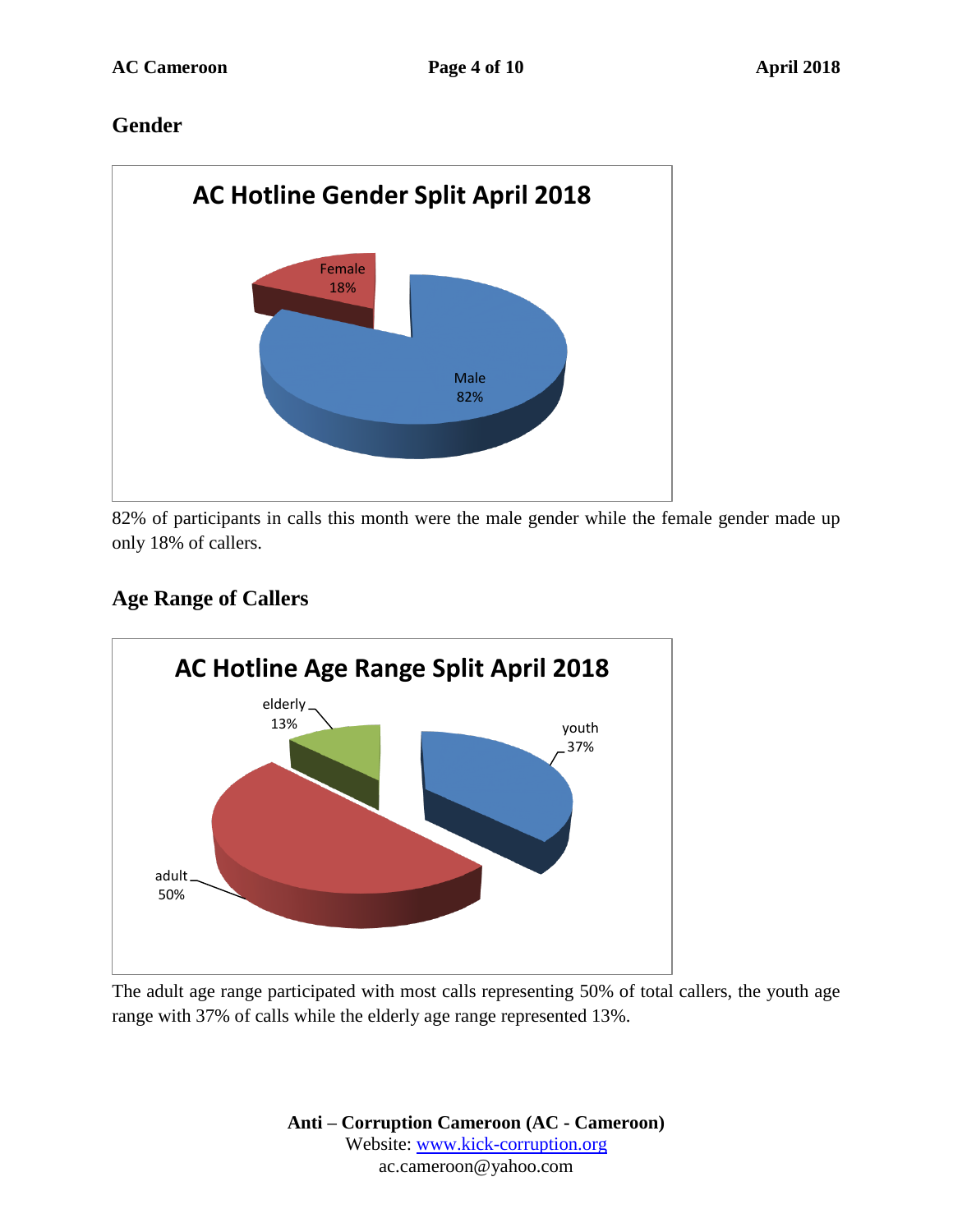### **Gender**



82% of participants in calls this month were the male gender while the female gender made up only 18% of callers.

### **Age Range of Callers**



The adult age range participated with most calls representing 50% of total callers, the youth age range with 37% of calls while the elderly age range represented 13%.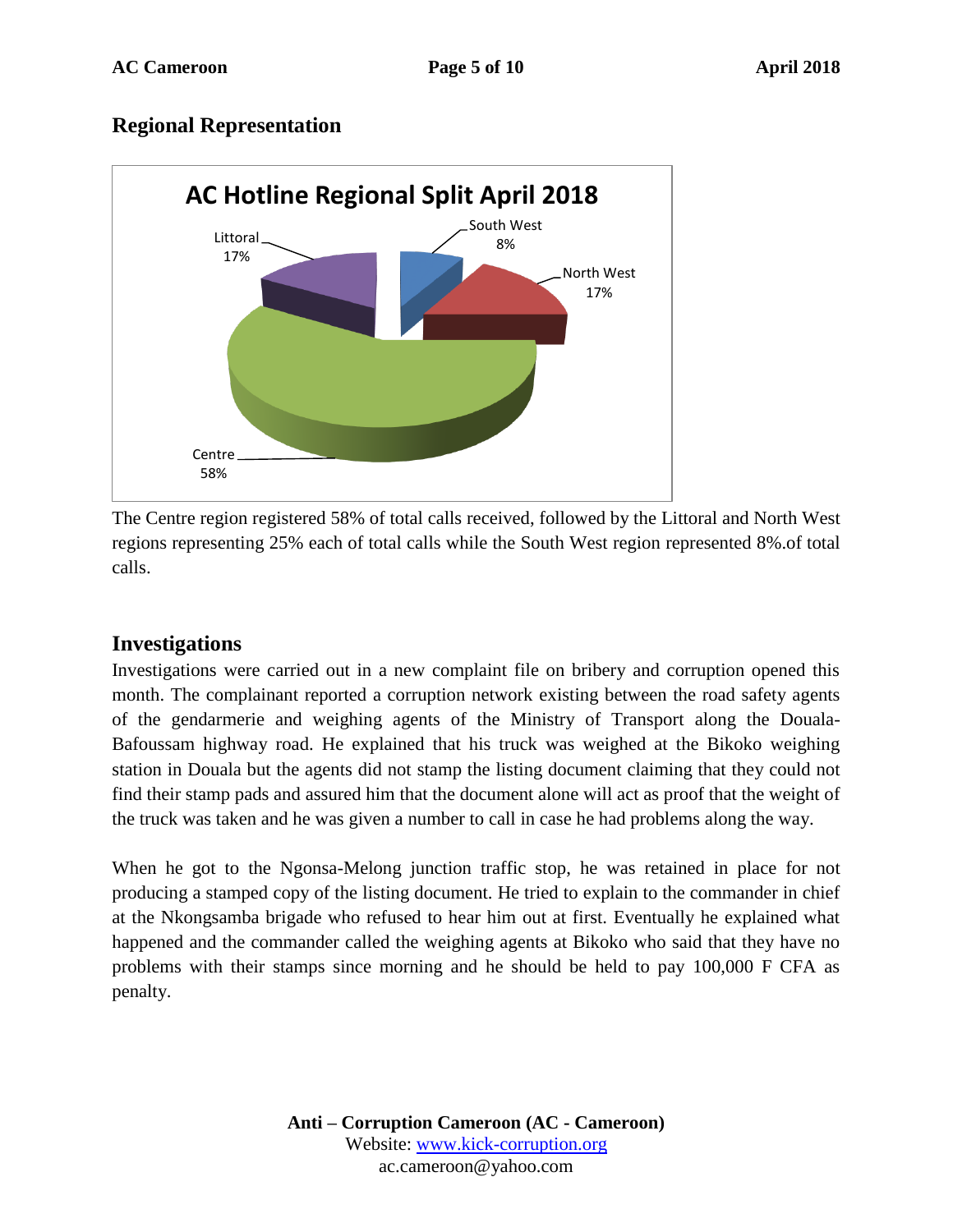#### **Regional Representation**



The Centre region registered 58% of total calls received, followed by the Littoral and North West regions representing 25% each of total calls while the South West region represented 8%.of total calls.

#### **Investigations**

Investigations were carried out in a new complaint file on bribery and corruption opened this month. The complainant reported a corruption network existing between the road safety agents of the gendarmerie and weighing agents of the Ministry of Transport along the Douala-Bafoussam highway road. He explained that his truck was weighed at the Bikoko weighing station in Douala but the agents did not stamp the listing document claiming that they could not find their stamp pads and assured him that the document alone will act as proof that the weight of the truck was taken and he was given a number to call in case he had problems along the way.

When he got to the Ngonsa-Melong junction traffic stop, he was retained in place for not producing a stamped copy of the listing document. He tried to explain to the commander in chief at the Nkongsamba brigade who refused to hear him out at first. Eventually he explained what happened and the commander called the weighing agents at Bikoko who said that they have no problems with their stamps since morning and he should be held to pay 100,000 F CFA as penalty.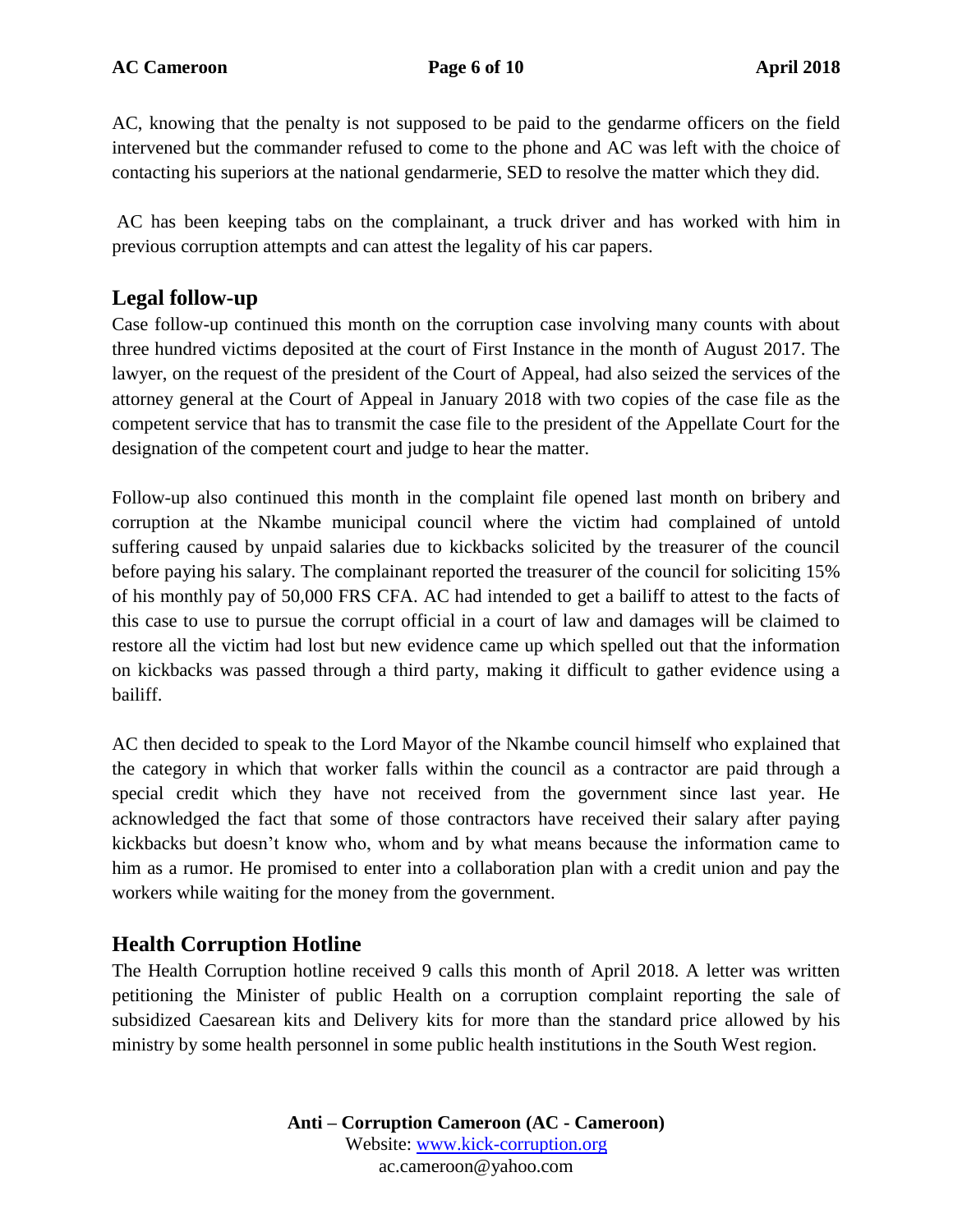AC, knowing that the penalty is not supposed to be paid to the gendarme officers on the field intervened but the commander refused to come to the phone and AC was left with the choice of contacting his superiors at the national gendarmerie, SED to resolve the matter which they did.

AC has been keeping tabs on the complainant, a truck driver and has worked with him in previous corruption attempts and can attest the legality of his car papers.

### **Legal follow-up**

Case follow-up continued this month on the corruption case involving many counts with about three hundred victims deposited at the court of First Instance in the month of August 2017. The lawyer, on the request of the president of the Court of Appeal, had also seized the services of the attorney general at the Court of Appeal in January 2018 with two copies of the case file as the competent service that has to transmit the case file to the president of the Appellate Court for the designation of the competent court and judge to hear the matter.

Follow-up also continued this month in the complaint file opened last month on bribery and corruption at the Nkambe municipal council where the victim had complained of untold suffering caused by unpaid salaries due to kickbacks solicited by the treasurer of the council before paying his salary. The complainant reported the treasurer of the council for soliciting 15% of his monthly pay of 50,000 FRS CFA. AC had intended to get a bailiff to attest to the facts of this case to use to pursue the corrupt official in a court of law and damages will be claimed to restore all the victim had lost but new evidence came up which spelled out that the information on kickbacks was passed through a third party, making it difficult to gather evidence using a bailiff.

AC then decided to speak to the Lord Mayor of the Nkambe council himself who explained that the category in which that worker falls within the council as a contractor are paid through a special credit which they have not received from the government since last year. He acknowledged the fact that some of those contractors have received their salary after paying kickbacks but doesn't know who, whom and by what means because the information came to him as a rumor. He promised to enter into a collaboration plan with a credit union and pay the workers while waiting for the money from the government.

### **Health Corruption Hotline**

The Health Corruption hotline received 9 calls this month of April 2018. A letter was written petitioning the Minister of public Health on a corruption complaint reporting the sale of subsidized Caesarean kits and Delivery kits for more than the standard price allowed by his ministry by some health personnel in some public health institutions in the South West region.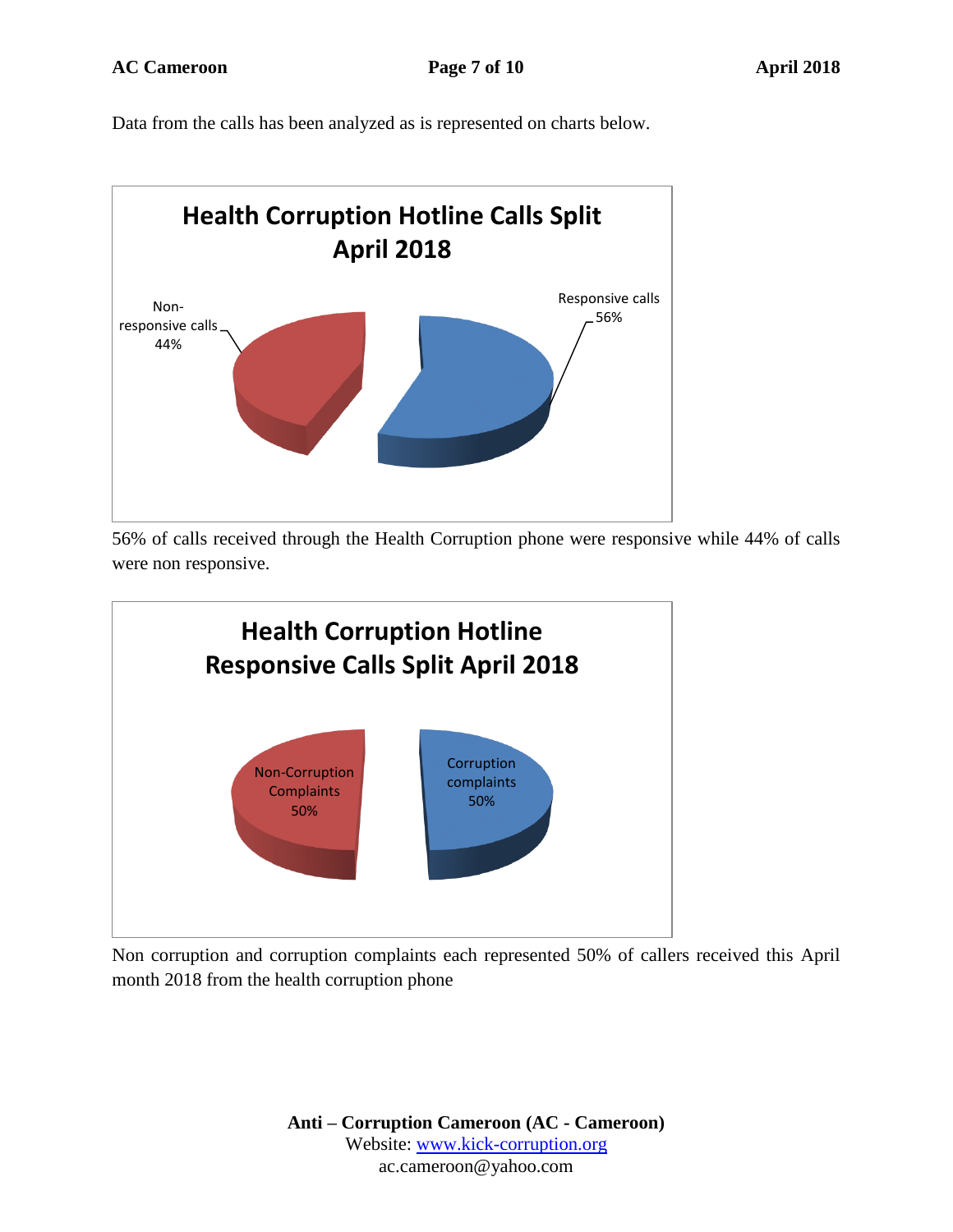Data from the calls has been analyzed as is represented on charts below.



56% of calls received through the Health Corruption phone were responsive while 44% of calls were non responsive.



Non corruption and corruption complaints each represented 50% of callers received this April month 2018 from the health corruption phone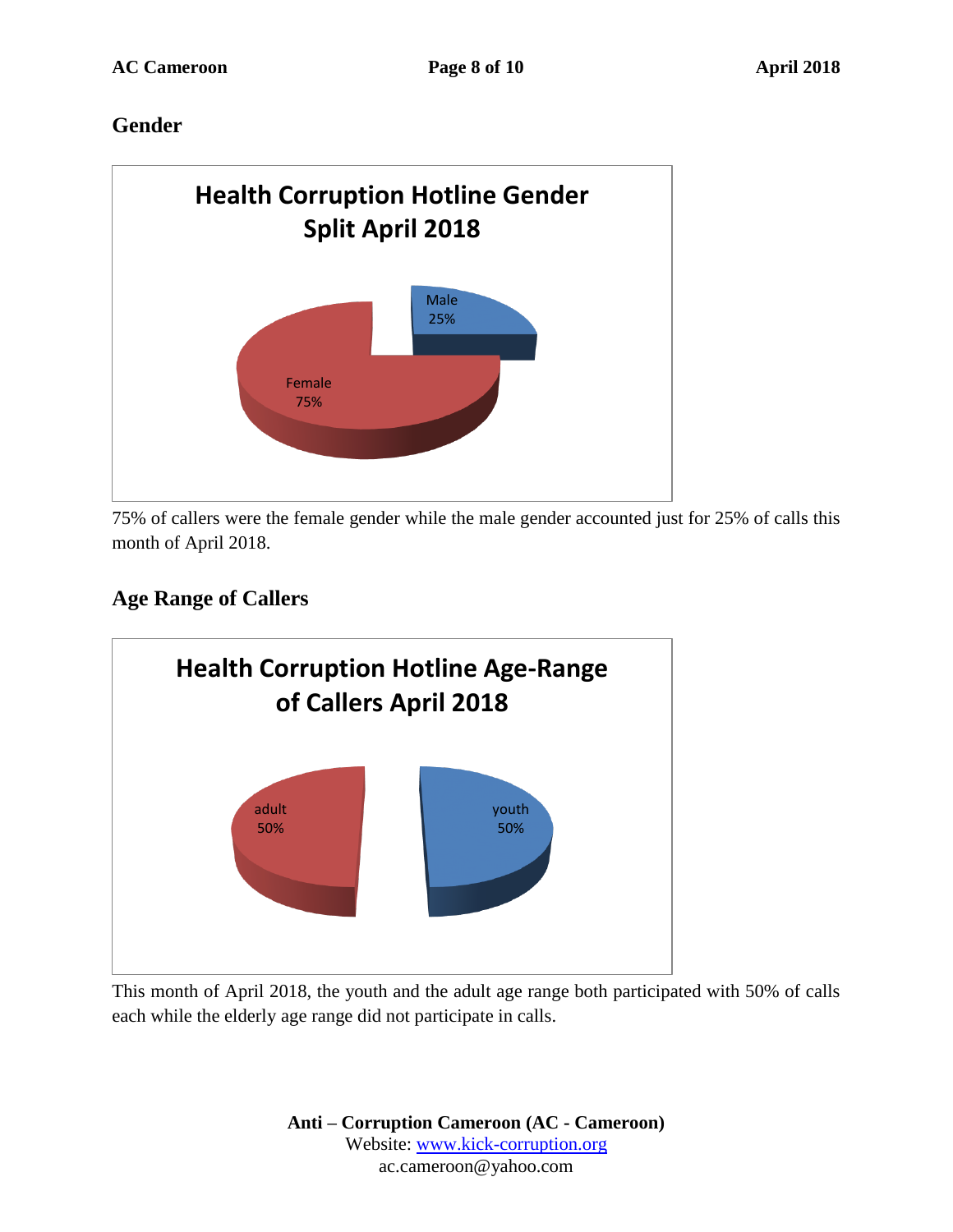### **Gender**



75% of callers were the female gender while the male gender accounted just for 25% of calls this month of April 2018.

## **Age Range of Callers**



This month of April 2018, the youth and the adult age range both participated with 50% of calls each while the elderly age range did not participate in calls.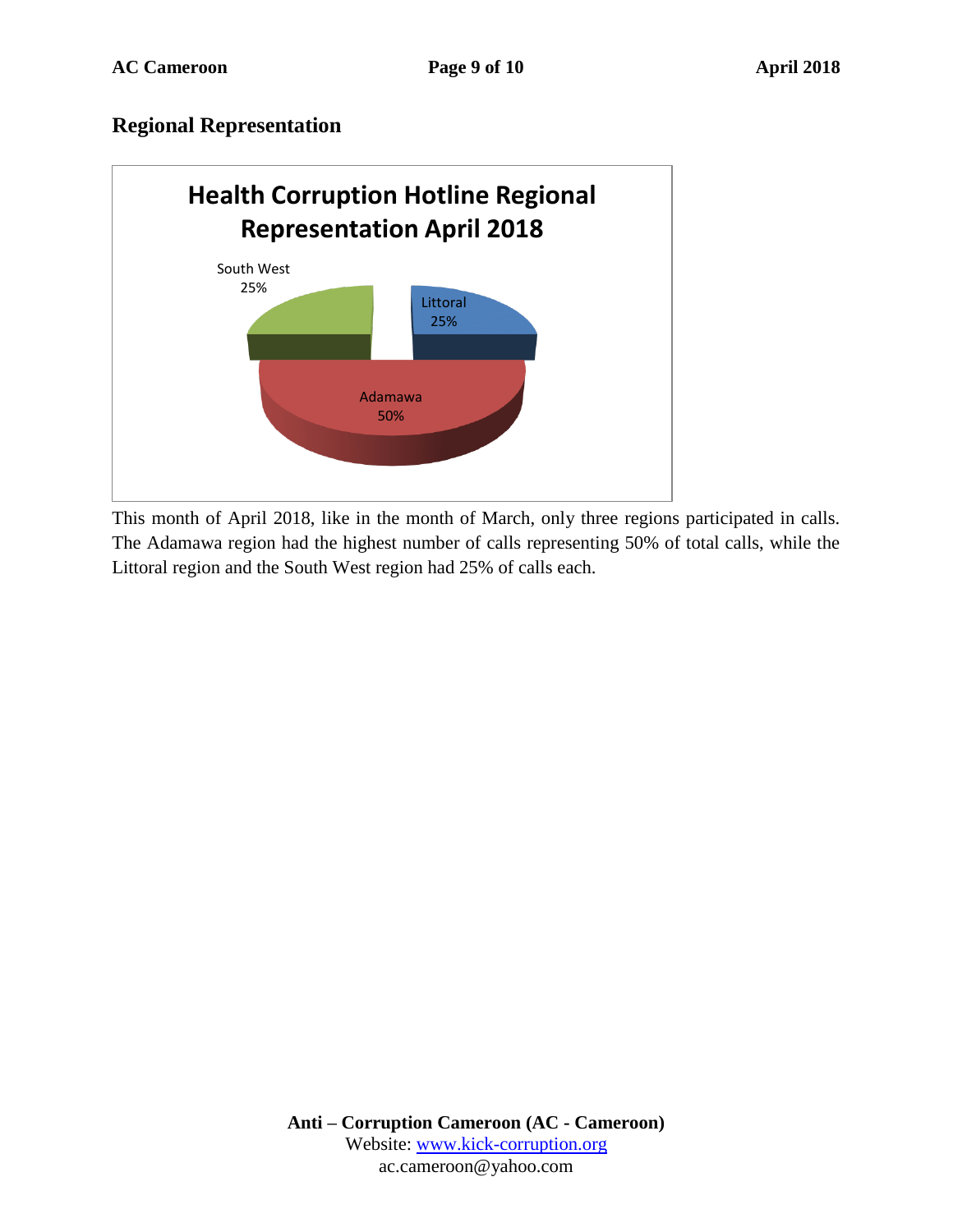#### **Regional Representation**



This month of April 2018, like in the month of March, only three regions participated in calls. The Adamawa region had the highest number of calls representing 50% of total calls, while the Littoral region and the South West region had 25% of calls each.